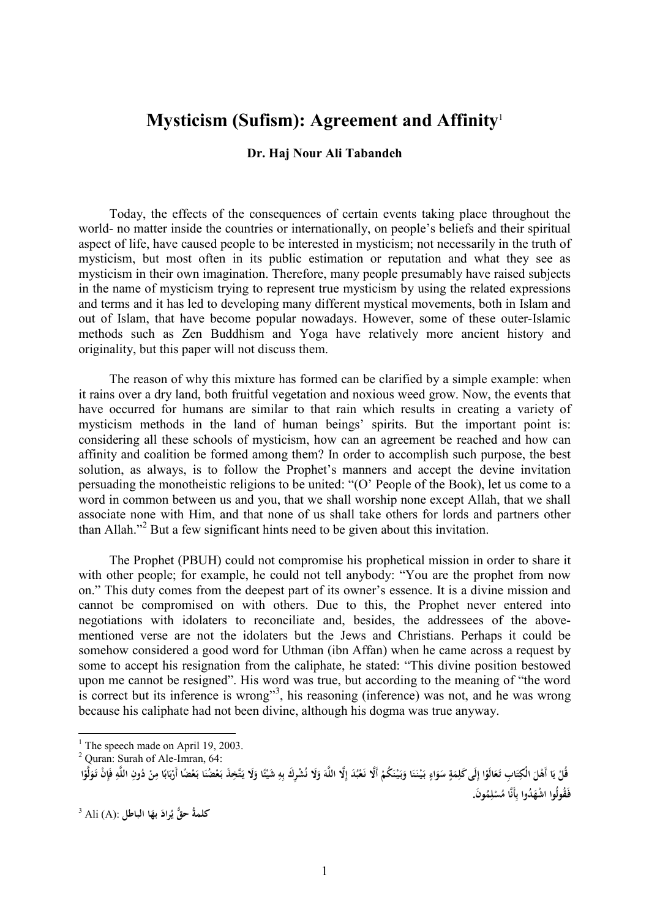## **Mysticism (Sufism): Agreement and Affinity**<sup>1</sup>

## **Dr. Haj Nour Ali Tabandeh**

Today, the effects of the consequences of certain events taking place throughout the world- no matter inside the countries or internationally, on people's beliefs and their spiritual aspect of life, have caused people to be interested in mysticism; not necessarily in the truth of mysticism, but most often in its public estimation or reputation and what they see as mysticism in their own imagination. Therefore, many people presumably have raised subjects in the name of mysticism trying to represent true mysticism by using the related expressions and terms and it has led to developing many different mystical movements, both in Islam and out of Islam, that have become popular nowadays. However, some of these outer-Islamic methods such as Zen Buddhism and Yoga have relatively more ancient history and originality, but this paper will not discuss them.

The reason of why this mixture has formed can be clarified by a simple example: when it rains over a dry land, both fruitful vegetation and noxious weed grow. Now, the events that have occurred for humans are similar to that rain which results in creating a variety of mysticism methods in the land of human beings' spirits. But the important point is: considering all these schools of mysticism, how can an agreement be reached and how can affinity and coalition be formed among them? In order to accomplish such purpose, the best solution, as always, is to follow the Prophet's manners and accept the devine invitation persuading the monotheistic religions to be united: "(O' People of the Book), let us come to a word in common between us and you, that we shall worship none except Allah, that we shall associate none with Him, and that none of us shall take others for lords and partners other than Allah. $\frac{1}{2}$  But a few significant hints need to be given about this invitation.

The Prophet (PBUH) could not compromise his prophetical mission in order to share it with other people; for example, he could not tell anybody: "You are the prophet from now on." This duty comes from the deepest part of its owner's essence. It is a divine mission and cannot be compromised on with others. Due to this, the Prophet never entered into negotiations with idolaters to reconciliate and, besides, the addressees of the abovementioned verse are not the idolaters but the Jews and Christians. Perhaps it could be somehow considered a good word for Uthman (ibn Affan) when he came across a request by some to accept his resignation from the caliphate, he stated: "This divine position bestowed upon me cannot be resigned". His word was true, but according to the meaning of "the word is correct but its inference is wrong"<sup>3</sup>, his reasoning (inference) was not, and he was wrong because his caliphate had not been divine, although his dogma was true anyway.

 $\overline{a}$ 

**ْ**

**ُ کلمةُ حق** :(A (Ali <sup>3</sup> **َ راد بها الباطلي َ**

<sup>&</sup>lt;sup>1</sup> The speech made on April 19, 2003.

<sup>2</sup> Quran: Surah of Ale-Imran, 64:

قُلْ يَا أَهْلَ الْكِتَابِ تَعَالَوْا إِلَى كَلِمَةٍ سَوَاءٍ بَيْنَنَا وَبَيْنَكُمْ أَلَّا نَعْبُدَ إِلَّا اللَّهَ وَلَا نُشْرِكَ بِهِ شَيْئًا وَنَيْسَ اللَّهِ وَإِنْ تَوَلَّوْا **َ ْ ْ َ َ َ َ َ َ ٍ َ ِ ِ ْ َ َ َ َ ي ْ ْ ِ ً َ ب ْ َ َ َ َ َ ً ْ ِ ٍ ْ ل َ ِ ِ َون ُ م ل ُس أَنَّا م َ ُدوا ب ْ اشه ُقولُوا . َفـ ِ ِ**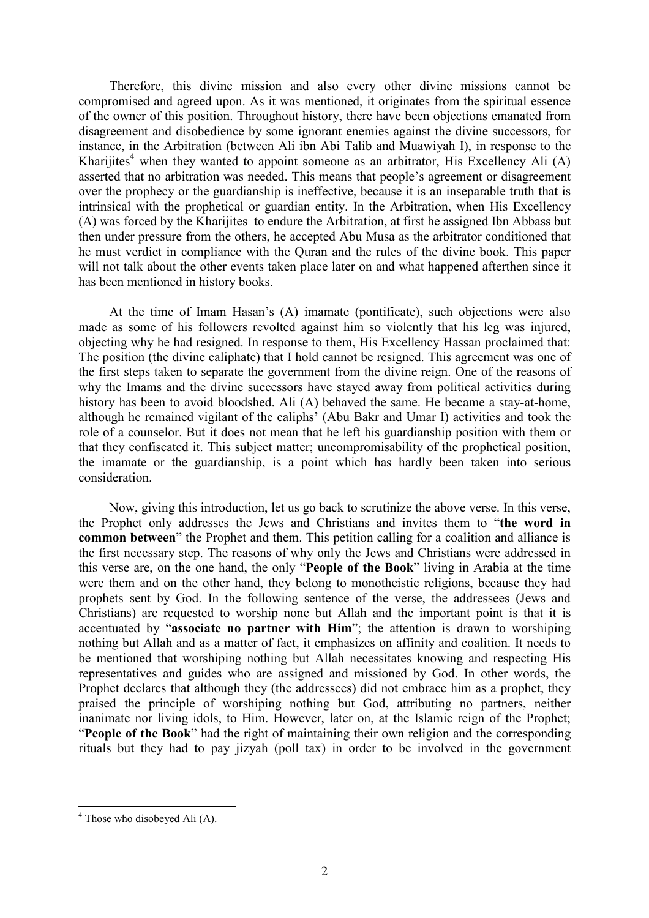Therefore, this divine mission and also every other divine missions cannot be compromised and agreed upon. As it was mentioned, it originates from the spiritual essence of the owner of this position. Throughout history, there have been objections emanated from disagreement and disobedience by some ignorant enemies against the divine successors, for instance, in the Arbitration (between Ali ibn Abi Talib and Muawiyah I), in response to the Kharijites<sup>4</sup> when they wanted to appoint someone as an arbitrator, His Excellency Ali  $(A)$ asserted that no arbitration was needed. This means that people's agreement or disagreement over the prophecy or the guardianship is ineffective, because it is an inseparable truth that is intrinsical with the prophetical or guardian entity. In the Arbitration, when His Excellency (A) was forced by the Kharijites to endure the Arbitration, at first he assigned Ibn Abbass but then under pressure from the others, he accepted Abu Musa as the arbitrator conditioned that he must verdict in compliance with the Quran and the rules of the divine book. This paper will not talk about the other events taken place later on and what happened afterthen since it has been mentioned in history books.

At the time of Imam Hasan's (A) imamate (pontificate), such objections were also made as some of his followers revolted against him so violently that his leg was injured, objecting why he had resigned. In response to them, His Excellency Hassan proclaimed that: The position (the divine caliphate) that I hold cannot be resigned. This agreement was one of the first steps taken to separate the government from the divine reign. One of the reasons of why the Imams and the divine successors have stayed away from political activities during history has been to avoid bloodshed. Ali (A) behaved the same. He became a stay-at-home, although he remained vigilant of the caliphs' (Abu Bakr and Umar I) activities and took the role of a counselor. But it does not mean that he left his guardianship position with them or that they confiscated it. This subject matter; uncompromisability of the prophetical position, the imamate or the guardianship, is a point which has hardly been taken into serious consideration.

Now, giving this introduction, let us go back to scrutinize the above verse. In this verse, the Prophet only addresses the Jews and Christians and invites them to "**the word in common between**" the Prophet and them. This petition calling for a coalition and alliance is the first necessary step. The reasons of why only the Jews and Christians were addressed in this verse are, on the one hand, the only "**People of the Book**" living in Arabia at the time were them and on the other hand, they belong to monotheistic religions, because they had prophets sent by God. In the following sentence of the verse, the addressees (Jews and Christians) are requested to worship none but Allah and the important point is that it is accentuated by "**associate no partner with Him**"; the attention is drawn to worshiping nothing but Allah and as a matter of fact, it emphasizes on affinity and coalition. It needs to be mentioned that worshiping nothing but Allah necessitates knowing and respecting His representatives and guides who are assigned and missioned by God. In other words, the Prophet declares that although they (the addressees) did not embrace him as a prophet, they praised the principle of worshiping nothing but God, attributing no partners, neither inanimate nor living idols, to Him. However, later on, at the Islamic reign of the Prophet; "**People of the Book**" had the right of maintaining their own religion and the corresponding rituals but they had to pay jizyah (poll tax) in order to be involved in the government

 $\overline{a}$ 

 $4$  Those who disobeyed Ali (A).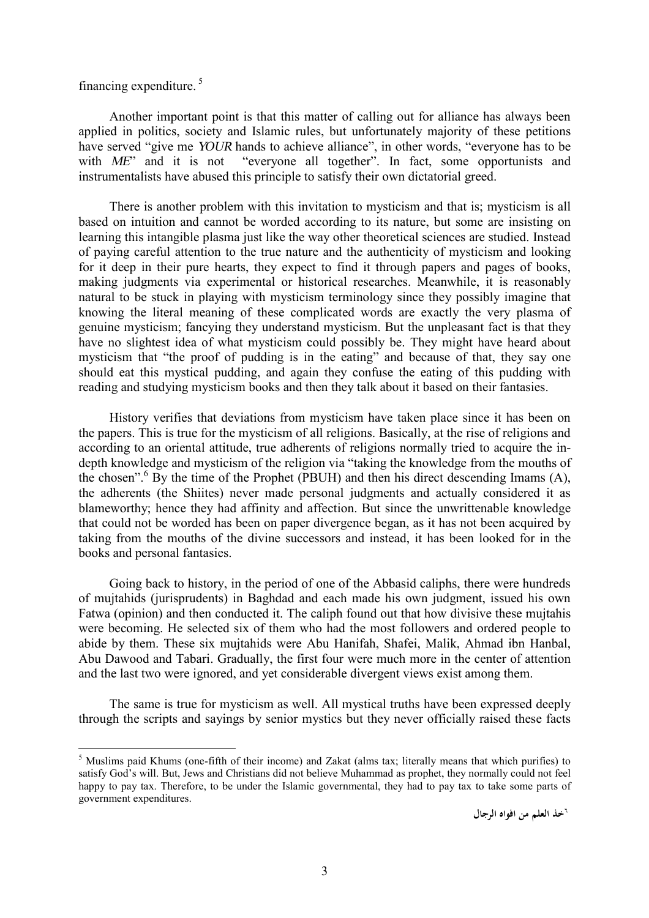financing expenditure.<sup>5</sup>

 $\overline{a}$ 

Another important point is that this matter of calling out for alliance has always been applied in politics, society and Islamic rules, but unfortunately majority of these petitions have served "give me *YOUR* hands to achieve alliance", in other words, "everyone has to be with *ME*" and it is not "everyone all together". In fact, some opportunists and instrumentalists have abused this principle to satisfy their own dictatorial greed.

There is another problem with this invitation to mysticism and that is; mysticism is all based on intuition and cannot be worded according to its nature, but some are insisting on learning this intangible plasma just like the way other theoretical sciences are studied. Instead of paying careful attention to the true nature and the authenticity of mysticism and looking for it deep in their pure hearts, they expect to find it through papers and pages of books, making judgments via experimental or historical researches. Meanwhile, it is reasonably natural to be stuck in playing with mysticism terminology since they possibly imagine that knowing the literal meaning of these complicated words are exactly the very plasma of genuine mysticism; fancying they understand mysticism. But the unpleasant fact is that they have no slightest idea of what mysticism could possibly be. They might have heard about mysticism that "the proof of pudding is in the eating" and because of that, they say one should eat this mystical pudding, and again they confuse the eating of this pudding with reading and studying mysticism books and then they talk about it based on their fantasies.

History verifies that deviations from mysticism have taken place since it has been on the papers. This is true for the mysticism of all religions. Basically, at the rise of religions and according to an oriental attitude, true adherents of religions normally tried to acquire the indepth knowledge and mysticism of the religion via "taking the knowledge from the mouths of the chosen". <sup>6</sup> By the time of the Prophet (PBUH) and then his direct descending Imams (A), the adherents (the Shiites) never made personal judgments and actually considered it as blameworthy; hence they had affinity and affection. But since the unwrittenable knowledge that could not be worded has been on paper divergence began, as it has not been acquired by taking from the mouths of the divine successors and instead, it has been looked for in the books and personal fantasies.

Going back to history, in the period of one of the Abbasid caliphs, there were hundreds of mujtahids (jurisprudents) in Baghdad and each made his own judgment, issued his own Fatwa (opinion) and then conducted it. The caliph found out that how divisive these mujtahis were becoming. He selected six of them who had the most followers and ordered people to abide by them. These six mujtahids were Abu Hanifah, Shafei, Malik, Ahmad ibn Hanbal, Abu Dawood and Tabari. Gradually, the first four were much more in the center of attention and the last two were ignored, and yet considerable divergent views exist among them.

The same is true for mysticism as well. All mystical truths have been expressed deeply through the scripts and sayings by senior mystics but they never officially raised these facts

<sup>&</sup>lt;sup>5</sup> Muslims paid Khums (one-fifth of their income) and Zakat (alms tax; literally means that which purifies) to satisfy God's will. But, Jews and Christians did not believe Muhammad as prophet, they normally could not feel happy to pay tax. Therefore, to be under the Islamic governmental, they had to pay tax to take some parts of government expenditures.